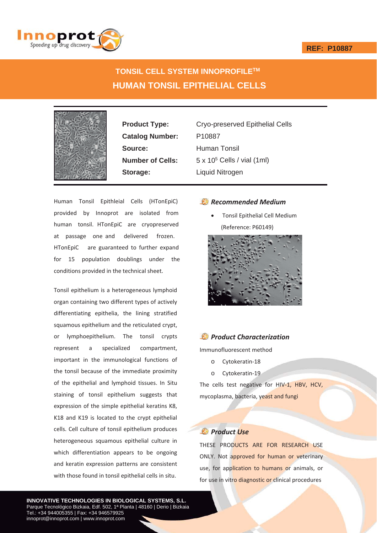### **REF: P10887**



# **TONSIL CELL SYSTEM INNOPROFILETM HUMAN TONSIL EPITHELIAL CELLS**



Catalog Number: P10887 **Source:** Human Tonsil **Storage:** Liquid Nitrogen

**Product Type:** Cryo-preserved Epithelial Cells **Number of Cells:** 5 x 10<sup>5</sup> Cells / vial (1ml)

Human Tonsil Epithleial Cells (HTonEpiC) provided by Innoprot are isolated from human tonsil. HTonEpiC are cryopreserved at passage one and delivered frozen. HTonEpiC are guaranteed to further expand for 15 population doublings under the conditions provided in the technical sheet.

Tonsil epithelium is a heterogeneous lymphoid organ containing two different types of actively differentiating epithelia, the lining stratified squamous epithelium and the reticulated crypt, or lymphoepithelium. The tonsil crypts represent a specialized compartment, important in the immunological functions of the tonsil because of the immediate proximity of the epithelial and lymphoid tissues. In Situ staining of tonsil epithelium suggests that expression of the simple epithelial keratins K8, K18 and K19 is located to the crypt epithelial cells. Cell culture of tonsil epithelium produces heterogeneous squamous epithelial culture in which differentiation appears to be ongoing and keratin expression patterns are consistent with those found in tonsil epithelial cells in situ.

### *Recommended Medium*

Tonsil Epithelial Cell Medium (Reference: P60149)



# *Product Characterization*

Immunofluorescent method

- o Cytokeratin-18
- o Cytokeratin-19

The cells test negative for HIV-1, HBV, HCV, mycoplasma, bacteria, yeast and fungi

## *Product Use*

THESE PRODUCTS ARE FOR RESEARCH USE ONLY. Not approved for human or veterinary use, for application to humans or animals, or for use in vitro diagnostic or clinical procedures

**INNOVATIVE TECHNOLOGIES IN BIOLOGICAL SYSTEMS, S.L.** Parque Tecnológico Bizkaia, Edf. 502, 1ª Planta | 48160 | Derio | Bizkaia Tel.: +34 944005355 | Fax: +34 946579925 innoprot@innoprot.com | www.innoprot.com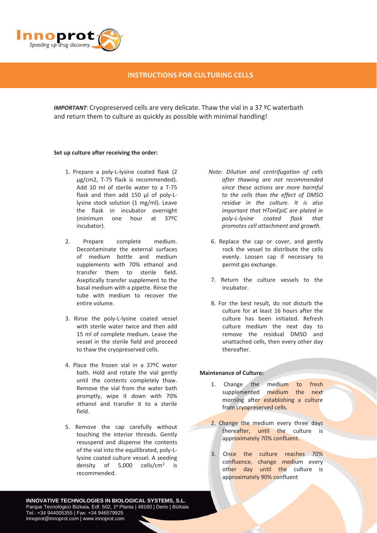

### **INSTRUCTIONS FOR CULTURING CELLS**

*IMPORTANT*: Cryopreserved cells are very delicate. Thaw the vial in a 37 ºC waterbath and return them to culture as quickly as possible with minimal handling!

#### **Set up culture after receiving the order:**

- 1. Prepare a poly-L-lysine coated flask (2 μg/cm2, T-75 flask is recommended). Add 10 ml of sterile water to a T-75 flask and then add 150 µl of poly-Llysine stock solution (1 mg/ml). Leave the flask in incubator overnight (minimum one hour at 37ºC incubator).
- 2. Prepare complete medium. Decontaminate the external surfaces of medium bottle and medium supplements with 70% ethanol and transfer them to sterile field. Aseptically transfer supplement to the basal medium with a pipette. Rinse the tube with medium to recover the entire volume.
- 3. Rinse the poly-L-lysine coated vessel with sterile water twice and then add 15 ml of complete medium. Leave the vessel in the sterile field and proceed to thaw the cryopreserved cells.
- 4. Place the frozen vial in a 37ºC water bath. Hold and rotate the vial gently until the contents completely thaw. Remove the vial from the water bath promptly, wipe it down with 70% ethanol and transfer it to a sterile field.
- 5. Remove the cap carefully without touching the interior threads. Gently resuspend and dispense the contents of the vial into the equilibrated, poly-Llysine coated culture vessel. A seeding density of 5,000 cells/cm2 is recommended.
- *Note: Dilution and centrifugation of cells after thawing are not recommended since these actions are more harmful to the cells than the effect of DMSO residue in the culture. It is also important that HTonEpiC are plated in*  $poly-L$ *-lysine coated flask that promotes cell attachment and growth.*
- 6. Replace the cap or cover, and gently rock the vessel to distribute the cells evenly. Loosen cap if necessary to permit gas exchange.
- 7. Return the culture vessels to the incubator.
- 8. For the best result, do not disturb the culture for at least 16 hours after the culture has been initiated. Refresh culture medium the next day to remove the residual DMSO and unattached cells, then every other day thereafter.

#### **Maintenance of Culture:**

- 1. Change the medium to fresh supplemented medium the next morning after establishing a culture from cryopreserved cells.
- 2. Change the medium every three days thereafter, until the culture is approximately 70% confluent.
- 3. Once the culture reaches 70% confluence, change medium every other day until the culture is approximately 90% confluent